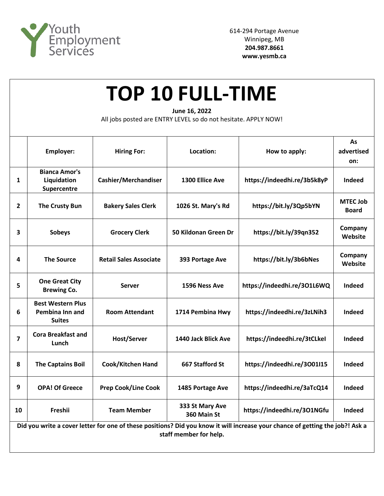

| <b>TOP 10 FULL-TIME</b><br>June 16, 2022<br>All jobs posted are ENTRY LEVEL so do not hesitate. APPLY NOW!                                              |                                                              |                               |                                |                             |                                 |  |  |  |  |
|---------------------------------------------------------------------------------------------------------------------------------------------------------|--------------------------------------------------------------|-------------------------------|--------------------------------|-----------------------------|---------------------------------|--|--|--|--|
|                                                                                                                                                         | Employer:                                                    | <b>Hiring For:</b>            | Location:                      | How to apply:               | As<br>advertised<br>on:         |  |  |  |  |
| 1                                                                                                                                                       | <b>Bianca Amor's</b><br>Liquidation<br>Supercentre           | Cashier/Merchandiser          | 1300 Ellice Ave                | https://indeedhi.re/3b5k8yP | <b>Indeed</b>                   |  |  |  |  |
| $\overline{2}$                                                                                                                                          | The Crusty Bun                                               | <b>Bakery Sales Clerk</b>     | 1026 St. Mary's Rd             | https://bit.ly/3Qp5bYN      | <b>MTEC Job</b><br><b>Board</b> |  |  |  |  |
| 3                                                                                                                                                       | <b>Sobeys</b>                                                | <b>Grocery Clerk</b>          | 50 Kildonan Green Dr           | https://bit.ly/39qn352      | Company<br>Website              |  |  |  |  |
| 4                                                                                                                                                       | <b>The Source</b>                                            | <b>Retail Sales Associate</b> | 393 Portage Ave                | https://bit.ly/3b6bNes      | Company<br>Website              |  |  |  |  |
| 5                                                                                                                                                       | <b>One Great City</b><br><b>Brewing Co.</b>                  | <b>Server</b>                 | 1596 Ness Ave                  | https://indeedhi.re/301L6WQ | <b>Indeed</b>                   |  |  |  |  |
| 6                                                                                                                                                       | <b>Best Western Plus</b><br>Pembina Inn and<br><b>Suites</b> | <b>Room Attendant</b>         | 1714 Pembina Hwy               | https://indeedhi.re/3zLNih3 | <b>Indeed</b>                   |  |  |  |  |
| $\overline{7}$                                                                                                                                          | <b>Cora Breakfast and</b><br>Lunch                           | <b>Host/Server</b>            | 1440 Jack Blick Ave            | https://indeedhi.re/3tCLkel | Indeed                          |  |  |  |  |
| 8                                                                                                                                                       | <b>The Captains Boil</b>                                     | Cook/Kitchen Hand             | 667 Stafford St                | https://indeedhi.re/3001I15 | Indeed                          |  |  |  |  |
| 9                                                                                                                                                       | <b>OPA! Of Greece</b>                                        | <b>Prep Cook/Line Cook</b>    | 1485 Portage Ave               | https://indeedhi.re/3aTcQ14 | Indeed                          |  |  |  |  |
| 10                                                                                                                                                      | Freshii                                                      | <b>Team Member</b>            | 333 St Mary Ave<br>360 Main St | https://indeedhi.re/301NGfu | Indeed                          |  |  |  |  |
| Did you write a cover letter for one of these positions? Did you know it will increase your chance of getting the job?! Ask a<br>staff member for help. |                                                              |                               |                                |                             |                                 |  |  |  |  |